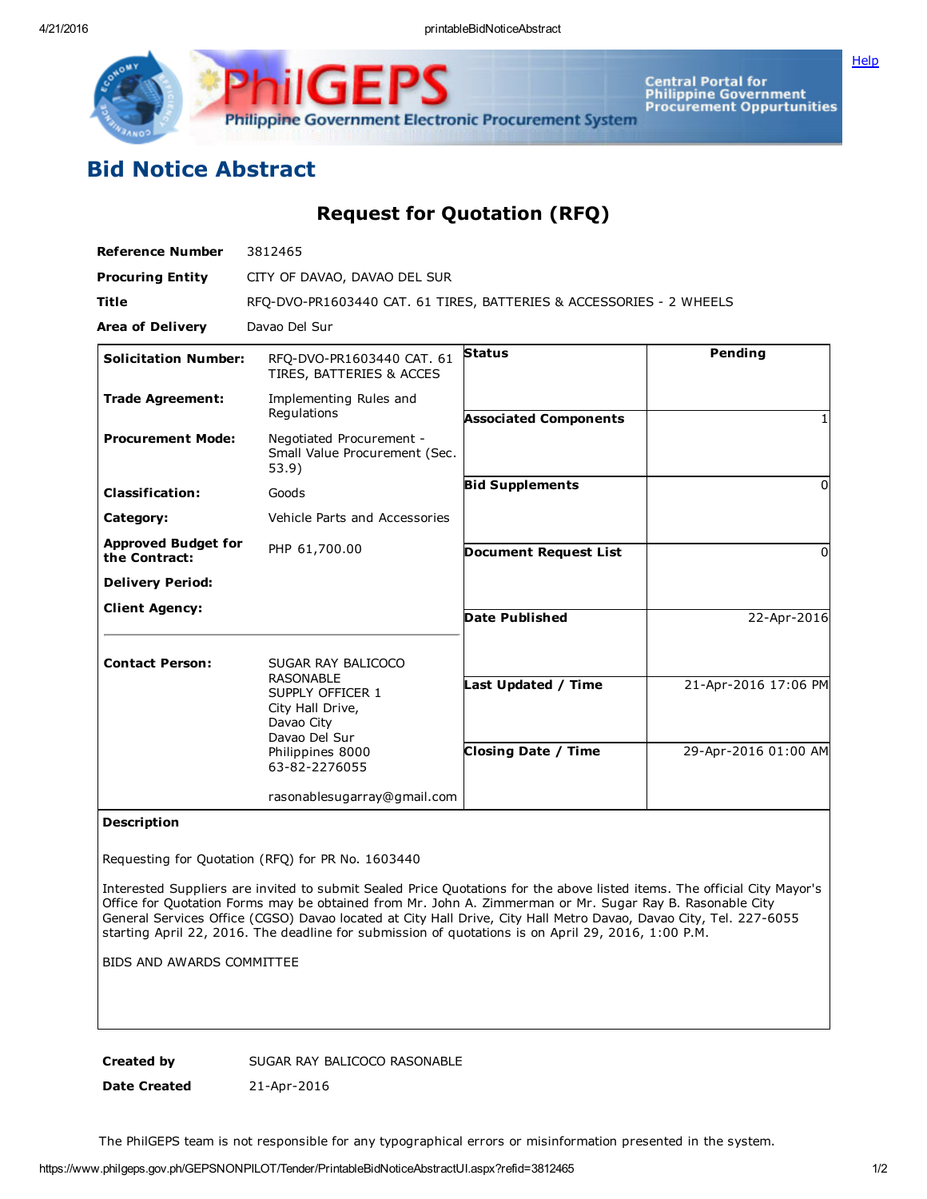**[Help](javascript:void(window.open()** 



Central Portal for<br>Philippine Government<br>Procurement Oppurtunities

## Bid Notice Abstract

Request for Quotation (RFQ)

| <b>Reference Number</b>                     | 3812465                                                                                                                                            |                                                   |                                              |
|---------------------------------------------|----------------------------------------------------------------------------------------------------------------------------------------------------|---------------------------------------------------|----------------------------------------------|
| <b>Procuring Entity</b>                     | CITY OF DAVAO, DAVAO DEL SUR                                                                                                                       |                                                   |                                              |
| <b>Title</b>                                | RFO-DVO-PR1603440 CAT. 61 TIRES, BATTERIES & ACCESSORIES - 2 WHEELS                                                                                |                                                   |                                              |
| <b>Area of Delivery</b>                     | Davao Del Sur                                                                                                                                      |                                                   |                                              |
| <b>Solicitation Number:</b>                 | RFQ-DVO-PR1603440 CAT. 61<br>TIRES, BATTERIES & ACCES                                                                                              | <b>Status</b>                                     | Pending                                      |
| <b>Trade Agreement:</b>                     | Implementing Rules and<br>Regulations                                                                                                              | <b>Associated Components</b>                      |                                              |
| <b>Procurement Mode:</b>                    | Negotiated Procurement -<br>Small Value Procurement (Sec.<br>53.9)                                                                                 |                                                   |                                              |
| <b>Classification:</b>                      | Goods                                                                                                                                              | <b>Bid Supplements</b>                            | $\Omega$                                     |
| Category:                                   | Vehicle Parts and Accessories                                                                                                                      |                                                   |                                              |
| <b>Approved Budget for</b><br>the Contract: | PHP 61,700.00                                                                                                                                      | <b>Document Request List</b>                      | $\Omega$                                     |
| <b>Delivery Period:</b>                     |                                                                                                                                                    |                                                   |                                              |
| <b>Client Agency:</b>                       |                                                                                                                                                    | <b>Date Published</b>                             | 22-Apr-2016                                  |
| <b>Contact Person:</b>                      | SUGAR RAY BALICOCO<br><b>RASONABLE</b><br>SUPPLY OFFICER 1<br>City Hall Drive,<br>Davao City<br>Davao Del Sur<br>Philippines 8000<br>63-82-2276055 | Last Updated / Time<br><b>Closing Date / Time</b> | 21-Apr-2016 17:06 PM<br>29-Apr-2016 01:00 AM |
|                                             | rasonablesugarray@gmail.com                                                                                                                        |                                                   |                                              |

## Description

Requesting for Quotation (RFQ) for PR No. 1603440

Interested Suppliers are invited to submit Sealed Price Quotations for the above listed items. The official City Mayor's Office for Quotation Forms may be obtained from Mr. John A. Zimmerman or Mr. Sugar Ray B. Rasonable City General Services Office (CGSO) Davao located at City Hall Drive, City Hall Metro Davao, Davao City, Tel. 227-6055 starting April 22, 2016. The deadline for submission of quotations is on April 29, 2016, 1:00 P.M.

BIDS AND AWARDS COMMITTEE

Created by SUGAR RAY BALICOCO RASONABLE

Date Created 21-Apr-2016

The PhilGEPS team is not responsible for any typographical errors or misinformation presented in the system.